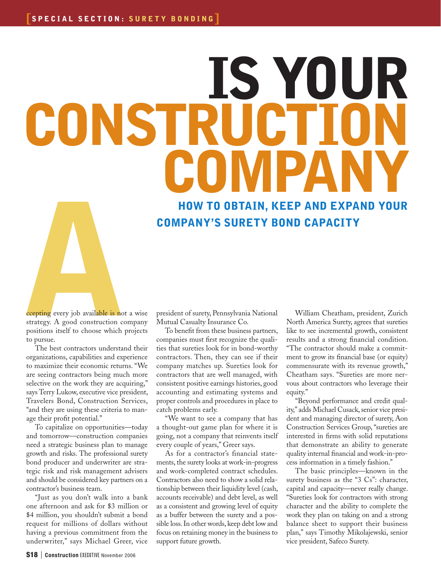## Is Your CONSTRUCT COMPAN

How to Obtain, Keep and Expand Your Company's Surety Bond Capacity

**Communist Control**<br> **Communist Control**<br> **Communist Control**<br> **Communist Control**<br> **Communist Control**<br> **Communist Control**<br> **Communist Control**<br> **Communist Control**<br> **Communist Control**<br> **Communist Communist Communist Co** strategy. A good construction company positions itself to choose which projects to pursue.

The best contractors understand their organizations, capabilities and experience to maximize their economic returns. "We are seeing contractors being much more selective on the work they are acquiring," says Terry Lukow, executive vice president, Travelers Bond, Construction Services, "and they are using these criteria to manage their profit potential."

To capitalize on opportunities—today and tomorrow—construction companies need a strategic business plan to manage growth and risks. The professional surety bond producer and underwriter are strategic risk and risk management advisers and should be considered key partners on a contractor's business team.

"Just as you don't walk into a bank one afternoon and ask for \$3 million or \$4 million, you shouldn't submit a bond request for millions of dollars without having a previous commitment from the underwriter," says Michael Greer, vice president of surety, Pennsylvania National Mutual Casualty Insurance Co.

To benefit from these business partners, companies must first recognize the qualities that sureties look for in bond-worthy contractors. Then, they can see if their company matches up. Sureties look for contractors that are well managed, with consistent positive earnings histories, good accounting and estimating systems and proper controls and procedures in place to catch problems early.

"We want to see a company that has a thought-out game plan for where it is going, not a company that reinvents itself every couple of years," Greer says.

As for a contractor's financial statements, the surety looks at work-in-progress and work-completed contract schedules. Contractors also need to show a solid relationship between their liquidity level (cash, accounts receivable) and debt level, as well as a consistent and growing level of equity as a buffer between the surety and a possible loss. In other words, keep debt low and focus on retaining money in the business to support future growth.

William Cheatham, president, Zurich North America Surety, agrees that sureties like to see incremental growth, consistent results and a strong financial condition. "The contractor should make a commitment to grow its financial base (or equity) commensurate with its revenue growth," Cheatham says. "Sureties are more nervous about contractors who leverage their equity."

"Beyond performance and credit quality," adds Michael Cusack, senior vice president and managing director of surety, Aon Construction Services Group, "sureties are interested in firms with solid reputations that demonstrate an ability to generate quality internal financial and work-in-process information in a timely fashion."

The basic principles—known in the surety business as the "3 Cs": character, capital and capacity—never really change. "Sureties look for contractors with strong character and the ability to complete the work they plan on taking on and a strong balance sheet to support their business plan," says Timothy Mikolajewski, senior vice president, Safeco Surety.